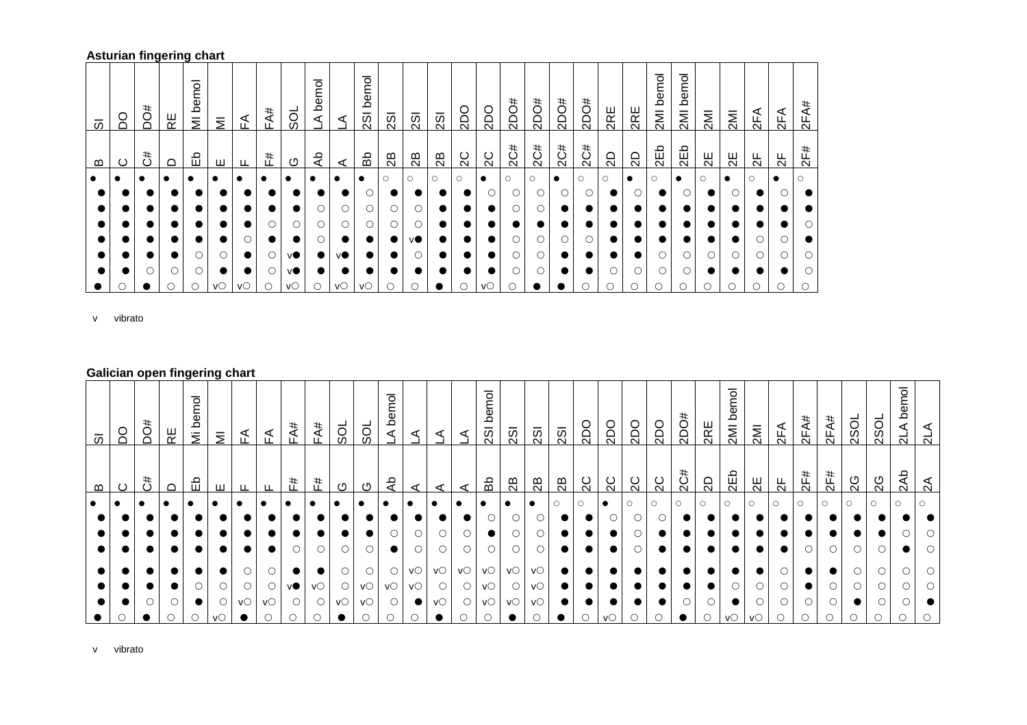## **Asturian fingering chart**

| 5         | S | #Oa | RΕ | bemol<br>$\overline{\overline{z}}$ | $\overline{\Sigma}$ | 준           | FA# | 50        | bemol<br>⊄ | ⋖                    | bemol<br>$\overline{3}$ | $\overline{2}$ | $\overline{2}$ | $\overline{2}$ | <b>OQS</b> | 2DO            | #Oaz    | #Oaz    | #Oaz      | #Oaz    | 2RE     | 2RE       | bemol<br>2M | bemol<br>IMIZ | 2M      | <b>IMI</b> | 2FA           | 2FA           | 2FA#    |
|-----------|---|-----|----|------------------------------------|---------------------|-------------|-----|-----------|------------|----------------------|-------------------------|----------------|----------------|----------------|------------|----------------|---------|---------|-----------|---------|---------|-----------|-------------|---------------|---------|------------|---------------|---------------|---------|
| മ         | ပ | 3   | ≏  | 띵                                  | ш                   | ட           | #   | ⊙         | ਵੇ         | ⋖                    | Вb                      | 28             | 28             | 28             | 2C         | $\overline{C}$ | 2C#     | 2C#     | 2C#       | 2C#     | 2D      | 2D        | 2Eb         | 2Eb           | 임       | 光          | $\frac{1}{2}$ | $\frac{1}{2}$ | 2F#     |
| $\bullet$ |   |     |    |                                    |                     |             |     | $\bullet$ |            | $\bullet$            | $\bullet$               | $\circ$        | $\circ$        | $\circ$        | $\circ$    | $\bullet$      | $\circ$ | $\circ$ | $\bullet$ | $\circ$ | $\circ$ | $\bullet$ | $\circ$     | $\bullet$     | $\circ$ | $\bullet$  | $\circ$       | $\bullet$     | $\circ$ |
|           |   |     |    |                                    |                     |             |     |           |            |                      |                         |                |                |                |            |                |         |         |           |         |         |           |             |               |         |            |               |               |         |
|           |   |     |    |                                    |                     |             |     |           | Ο          |                      | О                       | O              |                |                |            |                |         |         |           |         |         |           |             |               |         |            |               |               |         |
|           |   |     |    |                                    |                     |             | О   | Ο         | Ο          |                      |                         | Ο              |                |                |            |                |         |         |           |         |         |           |             |               |         |            |               |               |         |
|           |   |     |    |                                    |                     | ∩           |     | $\bullet$ | Ο          | $\bullet$            |                         | $\bullet$      | VO.            |                |            |                |         |         | O         | О       |         |           |             |               |         |            |               |               |         |
|           |   |     |    | О                                  | О                   | $\bullet$   | О   | vO.       |            | ۷O                   |                         |                |                |                |            |                |         |         |           |         |         |           |             |               |         |            |               |               | ∩       |
|           |   | ∩   | О  | O                                  |                     | $\bullet$   | О   | vO.       | $\bullet$  | $\bullet$            |                         |                |                |                |            |                |         |         |           |         |         |           |             |               |         |            |               |               |         |
|           |   |     | O  | $\bigcirc$                         | VO                  | $V^{\circ}$ | O   | VO        | О          | $V\circlearrowright$ | VO                      | $\circ$        | C              |                |            | VO             |         |         |           | С       |         |           |             | С             |         | С          |               | O             |         |

v vibrato

## **Galician open fingering chart**

| $\overline{\omega}$ | SQ | <b>bO#</b><br>$\ddot{c}$ | ピ        | bemol<br>ミ<br>임 | $\bar{z}$ | ₹      | ₹       | FA#<br>F# | FA#<br>#   | SOL     | ಠ              | ठ<br>Φ<br>م<br>⋖<br>ಕಿ | ⋖              | ⋖  | ◅  | pa<br>$\overline{2}$<br>Ъů | $\overline{2}$<br>$\mathbb{R}^2$ | $\overline{2}$<br>$\mathbb{B}$ | $\overline{2}$ SI<br>28 | OC2<br>2C | <b>2DO</b><br>2C | <b>Odz</b><br>2C | 200<br>2C | #<br>2DO<br>2C# | 2RE<br>SD | pa<br>Φ<br>≏<br>2M<br>2Eb | 2M<br>밁 | 2FA<br>ਖ਼  | 2FA#<br>2F# | 2FA#<br>2F# | 2S <sub>O</sub><br>2G | 2S <sub>O</sub><br>2G |                   |
|---------------------|----|--------------------------|----------|-----------------|-----------|--------|---------|-----------|------------|---------|----------------|------------------------|----------------|----|----|----------------------------|----------------------------------|--------------------------------|-------------------------|-----------|------------------|------------------|-----------|-----------------|-----------|---------------------------|---------|------------|-------------|-------------|-----------------------|-----------------------|-------------------|
| മ<br>$\bullet$      | ပ  |                          | $\Omega$ |                 | ш         | ட<br>- |         |           |            | ு       | ပ<br>$\bullet$ |                        | ⋖<br>$\bullet$ |    |    |                            |                                  |                                | $\circ$                 |           |                  |                  | $\circ$   |                 | $\circ$   | $\circ$                   | $\circ$ | $\bigcirc$ |             |             |                       | $\circ$               | 2Ab<br>$\bigcirc$ |
|                     |    |                          |          |                 |           |        |         |           |            |         |                |                        |                |    |    |                            |                                  |                                |                         |           |                  |                  |           |                 |           |                           |         |            |             |             |                       |                       |                   |
|                     |    |                          |          |                 |           |        |         |           |            |         |                |                        |                |    |    |                            |                                  |                                |                         |           |                  |                  |           |                 |           |                           |         |            |             |             |                       |                       |                   |
|                     |    |                          |          |                 |           |        |         | 0         | $\bigcirc$ | $\circ$ |                | $\bullet$              |                |    |    | $\circ$                    | $\circ$                          | $\circ$                        |                         |           |                  | $\bigcirc$       | $\bullet$ |                 | $\bullet$ |                           |         |            | $\bigcirc$  |             | $\bigcirc$            | $\circ$               |                   |
|                     |    |                          |          |                 |           |        | $\circ$ |           |            |         |                |                        | VO             | VO | VO | VO                         | VO                               | vΟ                             |                         |           |                  |                  |           |                 |           |                           |         |            |             |             |                       |                       |                   |
|                     |    |                          |          |                 |           | 0      | $\circ$ | ٧O        |            |         | vС             | VO                     |                |    |    | $V\circlearrowright$       | $\circ$                          | vΟ                             |                         |           |                  |                  |           |                 |           |                           |         |            |             |             |                       |                       |                   |
|                     |    |                          |          |                 | 0         | VO     | VO      | O         | O          | VO      |                | 0                      |                | VO |    | $V\circlearrowright$       | VO                               | VO                             |                         |           |                  |                  |           |                 |           |                           |         |            | O           |             |                       |                       |                   |
|                     |    |                          |          |                 | VO        |        |         |           |            |         |                |                        |                |    | Ο  | $\circ$                    |                                  |                                |                         |           |                  |                  |           |                 |           |                           | V.      |            |             | ∩           | Ω                     |                       |                   |

v vibrato